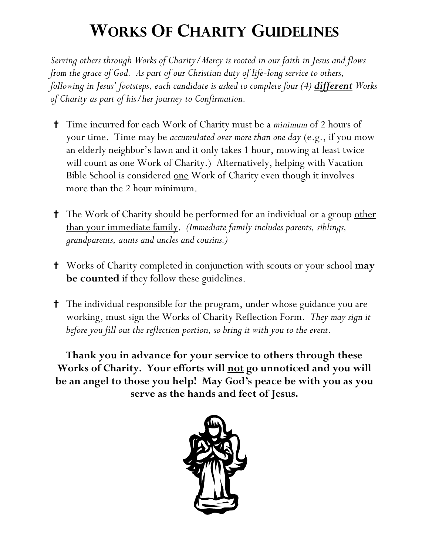# **WORKS OF CHARITY GUIDELINES**

*Serving others through Works of Charity/Mercy is rooted in our faith in Jesus and flows from the grace of God. As part of our Christian duty of life-long service to others, following in Jesus' footsteps, each candidate is asked to complete four (4) different Works of Charity as part of his/her journey to Confirmation.*

- **†** Time incurred for each Work of Charity must be a *minimum* of 2 hours of your time. Time may be *accumulated over more than one day* (e.g., if you mow an elderly neighbor's lawn and it only takes 1 hour, mowing at least twice will count as one Work of Charity.) Alternatively, helping with Vacation Bible School is considered <u>one</u> Work of Charity even though it involves more than the 2 hour minimum.
- **†** The Work of Charity should be performed for an individual or a group <u>other</u> than your immediate family. *(Immediate family includes parents, siblings, grandparents, aunts and uncles and cousins.)*
- **†** Works of Charity completed in conjunction with scouts or your school **may be counted** if they follow these guidelines.
- **†** The individual responsible for the program, under whose guidance you are working, must sign the Works of Charity Reflection Form. *They may sign it before you fill out the reflection portion, so bring it with you to the event.*

**Thank you in advance for your service to others through these Works of Charity. Your efforts will not go unnoticed and you will be an angel to those you help! May God's peace be with you as you serve as the hands and feet of Jesus.**

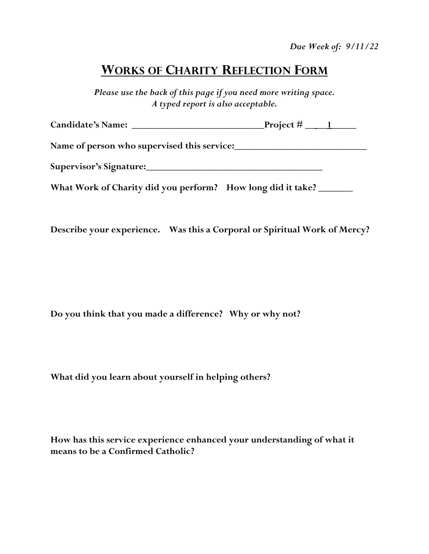*Please use the back of this page if you need more writing space. A typed report is also acceptable.*

| <b>Candidate's Name:</b> | Project # |  |
|--------------------------|-----------|--|
|                          |           |  |

**Name of person who supervised this service:\_\_\_\_\_\_\_\_\_\_\_\_\_\_\_\_\_\_\_\_\_\_\_\_\_\_\_**

**Supervisor's Signature:\_\_\_\_\_\_\_\_\_\_\_\_\_\_\_\_\_\_\_\_\_\_\_\_\_\_\_\_\_\_\_\_\_\_\_\_**

**What Work of Charity did you perform? How long did it take? \_\_\_\_\_\_\_**

**Describe your experience. Was this a Corporal or Spiritual Work of Mercy?**

**Do you think that you made a difference? Why or why not?**

**What did you learn about yourself in helping others?**

**How has this service experience enhanced your understanding of what it means to be a Confirmed Catholic?**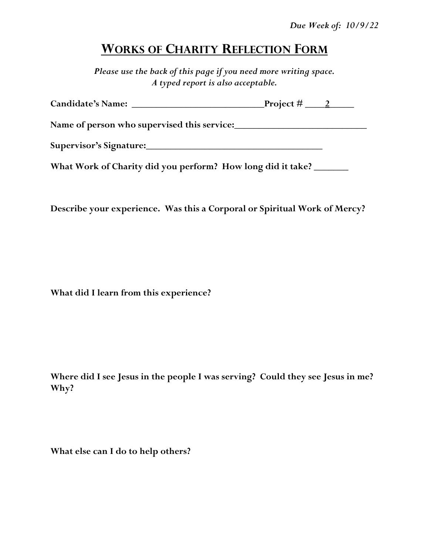*Please use the back of this page if you need more writing space. A typed report is also acceptable.*

|                                                             | Project $\#$ $\_\_2$ |  |
|-------------------------------------------------------------|----------------------|--|
| Name of person who supervised this service:                 |                      |  |
| Supervisor's Signature:                                     |                      |  |
| What Work of Charity did you perform? How long did it take? |                      |  |

**Describe your experience. Was this a Corporal or Spiritual Work of Mercy?**

**What did I learn from this experience?**

**Where did I see Jesus in the people I was serving? Could they see Jesus in me? Why?**

**What else can I do to help others?**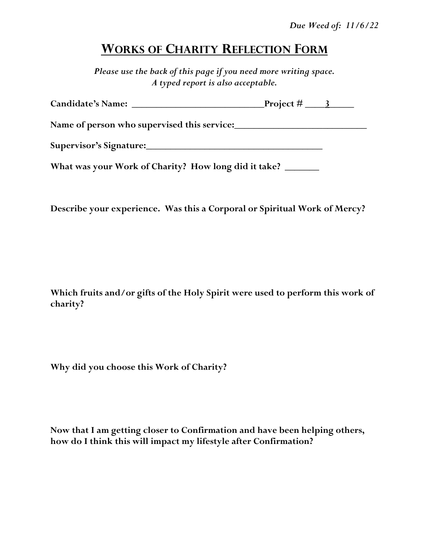*Please use the back of this page if you need more writing space. A typed report is also acceptable.*

| Candidate's Name: Names                                                                           | $\frac{1}{2}$ Project # $\frac{3}{2}$ |  |
|---------------------------------------------------------------------------------------------------|---------------------------------------|--|
| Name of person who supervised this service:<br><u>Name of person who supervised this service:</u> |                                       |  |
| Supervisor's Signature:                                                                           |                                       |  |
| What was your Work of Charity? How long did it take? ______                                       |                                       |  |

**Describe your experience. Was this a Corporal or Spiritual Work of Mercy?**

**Which fruits and/or gifts of the Holy Spirit were used to perform this work of charity?**

**Why did you choose this Work of Charity?**

**Now that I am getting closer to Confirmation and have been helping others, how do I think this will impact my lifestyle after Confirmation?**